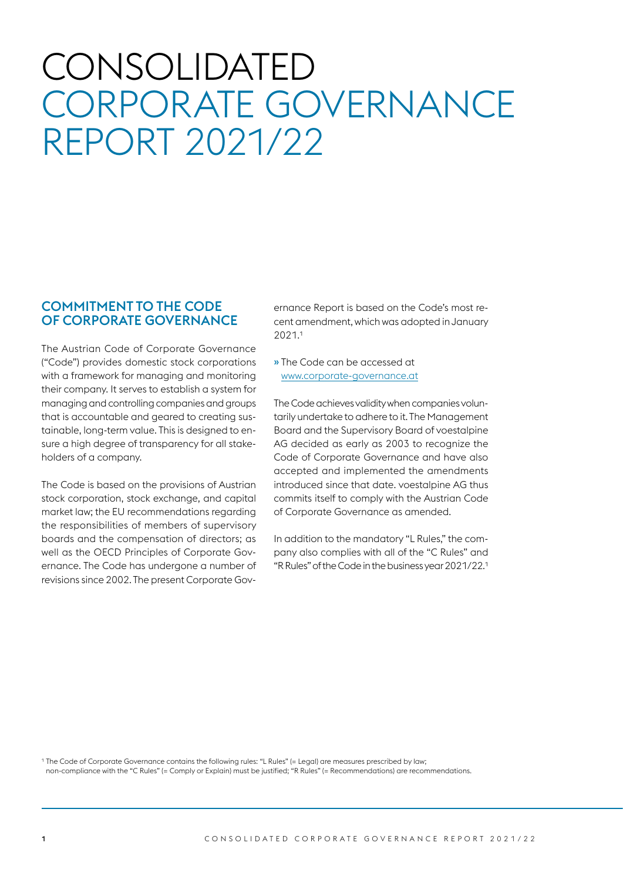# CONSOLIDATED CORPORATE GOVERNANCE REPORT 2021/22

## COMMITMENT TO THE CODE OF CORPORATE GOVERNANCE

The Austrian Code of Corporate Governance ("Code") provides domestic stock corporations with a framework for managing and monitoring their company. It serves to establish a system for managing and controlling companies and groups that is accountable and geared to creating sustainable, long-term value. This is designed to ensure a high degree of transparency for all stakeholders of a company.

The Code is based on the provisions of Austrian stock corporation, stock exchange, and capital market law; the EU recommendations regarding the responsibilities of members of supervisory boards and the compensation of directors; as well as the OECD Principles of Corporate Governance. The Code has undergone a number of revisions since 2002. The present Corporate Governance Report is based on the Code's most recent amendment, which was adopted in January 2021.1

» The Code can be accessed at www.corporate-governance.at

The Code achieves validity when companies voluntarily undertake to adhere to it. The Management Board and the Supervisory Board of voestalpine AG decided as early as 2003 to recognize the Code of Corporate Governance and have also accepted and implemented the amendments introduced since that date. voestalpine AG thus commits itself to comply with the Austrian Code of Corporate Governance as amended.

In addition to the mandatory "L Rules," the company also complies with all of the "C Rules" and "R Rules" of the Code in the business year 2021/22.1

1 The Code of Corporate Governance contains the following rules: "L Rules" (= Legal) are measures prescribed by law; non-compliance with the "C Rules" (= Comply or Explain) must be justified; "R Rules" (= Recommendations) are recommendations.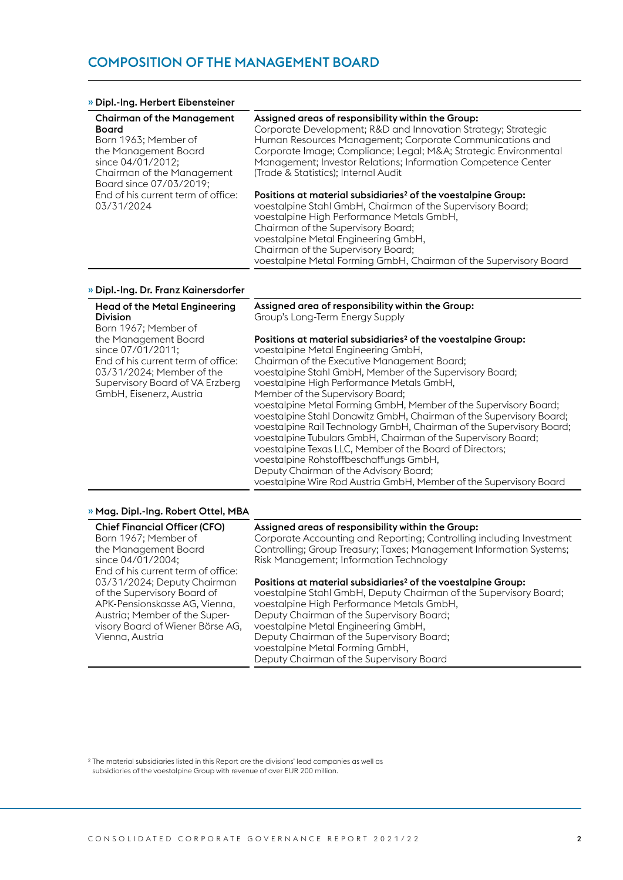#### » Dipl.-Ing. Herbert Eibensteiner

| <b>Chairman of the Management</b>  | Assigned areas of responsibility within the Group:                        |
|------------------------------------|---------------------------------------------------------------------------|
| <b>Board</b>                       | Corporate Development; R&D and Innovation Strategy; Strategic             |
| Born 1963; Member of               | Human Resources Management; Corporate Communications and                  |
| the Management Board               | Corporate Image; Compliance; Legal; M&A Strategic Environmental           |
| since 04/01/2012;                  | Management; Investor Relations; Information Competence Center             |
| Chairman of the Management         | (Trade & Statistics); Internal Audit                                      |
| Board since 07/03/2019;            |                                                                           |
| End of his current term of office: | Positions at material subsidiaries <sup>2</sup> of the voestalpine Group: |
| 03/31/2024                         | voestalpine Stahl GmbH, Chairman of the Supervisory Board;                |
|                                    | voestalpine High Performance Metals GmbH,                                 |
|                                    | Chairman of the Supervisory Board;                                        |
|                                    | voestalpine Metal Engineering GmbH,                                       |
|                                    | Chairman of the Supervisory Board;                                        |

voestalpine Metal Forming GmbH, Chairman of the Supervisory Board

#### » Dipl.-Ing. Dr. Franz Kainersdorfer

| <b>Head of the Metal Engineering</b><br><b>Division</b><br>Born 1967; Member of                                                                                            | Assigned area of responsibility within the Group:<br>Group's Long-Term Energy Supply                                                                                                                                                                                                                                                                                                                                                                                                                                                                                                                                                                                                                                                                                                                                   |
|----------------------------------------------------------------------------------------------------------------------------------------------------------------------------|------------------------------------------------------------------------------------------------------------------------------------------------------------------------------------------------------------------------------------------------------------------------------------------------------------------------------------------------------------------------------------------------------------------------------------------------------------------------------------------------------------------------------------------------------------------------------------------------------------------------------------------------------------------------------------------------------------------------------------------------------------------------------------------------------------------------|
| the Management Board<br>since 07/01/2011;<br>End of his current term of office:<br>03/31/2024; Member of the<br>Supervisory Board of VA Erzberg<br>GmbH, Eisenerz, Austria | Positions at material subsidiaries <sup>2</sup> of the voestalpine Group:<br>voestalpine Metal Engineering GmbH,<br>Chairman of the Executive Management Board;<br>voestalpine Stahl GmbH, Member of the Supervisory Board;<br>voestalpine High Performance Metals GmbH,<br>Member of the Supervisory Board;<br>voestalpine Metal Forming GmbH, Member of the Supervisory Board;<br>voestalpine Stahl Donawitz GmbH, Chairman of the Supervisory Board;<br>voestalpine Rail Technology GmbH, Chairman of the Supervisory Board;<br>voestalpine Tubulars GmbH, Chairman of the Supervisory Board;<br>voestalpine Texas LLC, Member of the Board of Directors;<br>voestalpine Rohstoffbeschaffungs GmbH,<br>Deputy Chairman of the Advisory Board;<br>voestalpine Wire Rod Austria GmbH, Member of the Supervisory Board |
|                                                                                                                                                                            |                                                                                                                                                                                                                                                                                                                                                                                                                                                                                                                                                                                                                                                                                                                                                                                                                        |

#### » Mag. Dipl.-Ing. Robert Ottel, MBA

| <b>Chief Financial Officer (CFO)</b> |
|--------------------------------------|
| Born 1967; Member of                 |
| the Management Board                 |
| since 04/01/2004;                    |
| End of his current term of office:   |
| 03/31/2024; Deputy Chairman          |
| of the Supervisory Board of          |
| APK-Pensionskasse AG, Vienna,        |
| Austria; Member of the Super-        |
| visory Board of Wiener Börse AG,     |
| Vienna, Austria                      |
|                                      |

#### Assigned areas of responsibility within the Group:

Corporate Accounting and Reporting; Controlling including Investment Controlling; Group Treasury; Taxes; Management Information Systems; Risk Management; Information Technology

#### Positions at material subsidiaries<sup>2</sup> of the voestalpine Group:

voestalpine Stahl GmbH, Deputy Chairman of the Supervisory Board; voestalpine High Performance Metals GmbH, Deputy Chairman of the Supervisory Board; voestalpine Metal Engineering GmbH, Deputy Chairman of the Supervisory Board; voestalpine Metal Forming GmbH, Deputy Chairman of the Supervisory Board

2 The material subsidiaries listed in this Report are the divisions' lead companies as well as subsidiaries of the voestalpine Group with revenue of over EUR 200 million.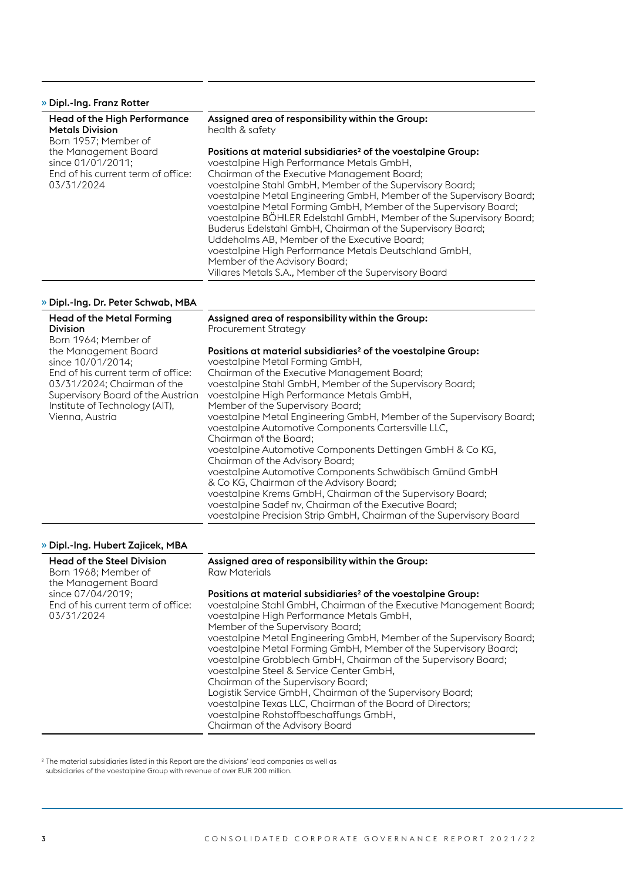## » Dipl.-Ing. Franz Rotter

| Head of the High Performance<br><b>Metals Division</b> | Assigned area of responsibility within the Group:<br>health & safety      |
|--------------------------------------------------------|---------------------------------------------------------------------------|
| Born 1957; Member of                                   |                                                                           |
| the Management Board                                   | Positions at material subsidiaries <sup>2</sup> of the voestalpine Group: |
| since 01/01/2011;                                      | voestalpine High Performance Metals GmbH,                                 |
| End of his current term of office:                     | Chairman of the Executive Management Board;                               |
| 03/31/2024                                             | voestalpine Stahl GmbH, Member of the Supervisory Board;                  |
|                                                        | voestalpine Metal Engineering GmbH, Member of the Supervisory Board;      |
|                                                        | voestalpine Metal Forming GmbH, Member of the Supervisory Board;          |
|                                                        | voestalpine BOHLER Edelstahl GmbH, Member of the Supervisory Board;       |
|                                                        | Buderus Edelstahl GmbH, Chairman of the Supervisory Board;                |
|                                                        | Uddeholms AB, Member of the Executive Board;                              |
|                                                        | voestalpine High Performance Metals Deutschland GmbH,                     |

Member of the Advisory Board;

Villares Metals S.A., Member of the Supervisory Board

## » Dipl.-Ing. Dr. Peter Schwab, MBA

| <b>Head of the Metal Forming</b><br><b>Division</b>                                                                                                                                                      | Assigned area of responsibility within the Group:<br><b>Procurement Strategy</b>                                                                                                                                                                                                                                                                                                                                                                                                                                                                                                                                                                                                                                                                                                                                                                                        |
|----------------------------------------------------------------------------------------------------------------------------------------------------------------------------------------------------------|-------------------------------------------------------------------------------------------------------------------------------------------------------------------------------------------------------------------------------------------------------------------------------------------------------------------------------------------------------------------------------------------------------------------------------------------------------------------------------------------------------------------------------------------------------------------------------------------------------------------------------------------------------------------------------------------------------------------------------------------------------------------------------------------------------------------------------------------------------------------------|
| Born 1964; Member of                                                                                                                                                                                     |                                                                                                                                                                                                                                                                                                                                                                                                                                                                                                                                                                                                                                                                                                                                                                                                                                                                         |
| the Management Board<br>since 10/01/2014;<br>End of his current term of office:<br>03/31/2024; Chairman of the<br>Supervisory Board of the Austrian<br>Institute of Technology (AIT),<br>Vienna, Austria | Positions at material subsidiaries <sup>2</sup> of the voestalpine Group:<br>voestalpine Metal Forming GmbH,<br>Chairman of the Executive Management Board;<br>voestalpine Stahl GmbH, Member of the Supervisory Board;<br>voestalpine High Performance Metals GmbH,<br>Member of the Supervisory Board;<br>voestalpine Metal Engineering GmbH, Member of the Supervisory Board;<br>voestalpine Automotive Components Cartersville LLC,<br>Chairman of the Board;<br>voestalpine Automotive Components Dettingen GmbH & Co KG,<br>Chairman of the Advisory Board;<br>voestalpine Automotive Components Schwäbisch Gmünd GmbH<br>& Co KG, Chairman of the Advisory Board;<br>voestalpine Krems GmbH, Chairman of the Supervisory Board;<br>voestalpine Sadef nv, Chairman of the Executive Board;<br>voestalpine Precision Strip GmbH, Chairman of the Supervisory Board |

## » Dipl.-Ing. Hubert Zajicek, MBA

| <b>Head of the Steel Division</b><br>Born 1968; Member of<br>the Management Board | Assigned area of responsibility within the Group:<br>Raw Materials                                                                                                                                                                                                                                                                                                                                                                                                                                                                                                                                                                                                                                                                       |
|-----------------------------------------------------------------------------------|------------------------------------------------------------------------------------------------------------------------------------------------------------------------------------------------------------------------------------------------------------------------------------------------------------------------------------------------------------------------------------------------------------------------------------------------------------------------------------------------------------------------------------------------------------------------------------------------------------------------------------------------------------------------------------------------------------------------------------------|
| since 07/04/2019;<br>End of his current term of office:<br>03/31/2024             | Positions at material subsidiaries <sup>2</sup> of the voestalpine Group:<br>voestalpine Stahl GmbH, Chairman of the Executive Management Board;<br>voestalpine High Performance Metals GmbH,<br>Member of the Supervisory Board;<br>voestalpine Metal Engineering GmbH, Member of the Supervisory Board;<br>voestalpine Metal Forming GmbH, Member of the Supervisory Board;<br>voestalpine Grobblech GmbH, Chairman of the Supervisory Board;<br>voestalpine Steel & Service Center GmbH,<br>Chairman of the Supervisory Board;<br>Logistik Service GmbH, Chairman of the Supervisory Board;<br>voestalpine Texas LLC, Chairman of the Board of Directors;<br>voestalpine Rohstoffbeschaffungs GmbH,<br>Chairman of the Advisory Board |
|                                                                                   |                                                                                                                                                                                                                                                                                                                                                                                                                                                                                                                                                                                                                                                                                                                                          |

2 The material subsidiaries listed in this Report are the divisions' lead companies as well as subsidiaries of the voestalpine Group with revenue of over EUR 200 million.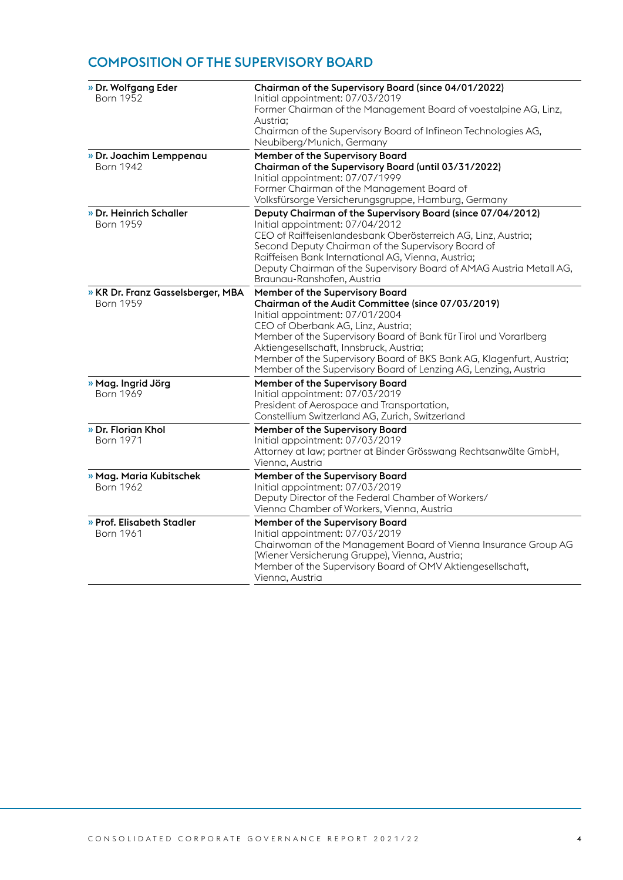## COMPOSITION OF THE SUPERVISORY BOARD

| » Dr. Wolfgang Eder                                   | Chairman of the Supervisory Board (since 04/01/2022)                                                                                                                                                                                                                                                                                                                                                                     |
|-------------------------------------------------------|--------------------------------------------------------------------------------------------------------------------------------------------------------------------------------------------------------------------------------------------------------------------------------------------------------------------------------------------------------------------------------------------------------------------------|
| Born 1952                                             | Initial appointment: 07/03/2019<br>Former Chairman of the Management Board of voestalpine AG, Linz,<br>Austria;                                                                                                                                                                                                                                                                                                          |
|                                                       | Chairman of the Supervisory Board of Infineon Technologies AG,<br>Neubiberg/Munich, Germany                                                                                                                                                                                                                                                                                                                              |
| » Dr. Joachim Lemppenau<br><b>Born 1942</b>           | Member of the Supervisory Board<br>Chairman of the Supervisory Board (until 03/31/2022)<br>Initial appointment: 07/07/1999<br>Former Chairman of the Management Board of<br>Volksfürsorge Versicherungsgruppe, Hamburg, Germany                                                                                                                                                                                          |
| » Dr. Heinrich Schaller<br><b>Born 1959</b>           | Deputy Chairman of the Supervisory Board (since 07/04/2012)<br>Initial appointment: 07/04/2012<br>CEO of Raiffeisenlandesbank Oberösterreich AG, Linz, Austria;<br>Second Deputy Chairman of the Supervisory Board of<br>Raiffeisen Bank International AG, Vienna, Austria;<br>Deputy Chairman of the Supervisory Board of AMAG Austria Metall AG,<br>Braunau-Ranshofen, Austria                                         |
| » KR Dr. Franz Gasselsberger, MBA<br><b>Born 1959</b> | Member of the Supervisory Board<br>Chairman of the Audit Committee (since 07/03/2019)<br>Initial appointment: 07/01/2004<br>CEO of Oberbank AG, Linz, Austria;<br>Member of the Supervisory Board of Bank für Tirol und Vorarlberg<br>Aktiengesellschaft, Innsbruck, Austria;<br>Member of the Supervisory Board of BKS Bank AG, Klagenfurt, Austria;<br>Member of the Supervisory Board of Lenzing AG, Lenzing, Austria |
| » Mag. Ingrid Jörg<br><b>Born 1969</b>                | Member of the Supervisory Board<br>Initial appointment: 07/03/2019<br>President of Aerospace and Transportation,<br>Constellium Switzerland AG, Zurich, Switzerland                                                                                                                                                                                                                                                      |
| » Dr. Florian Khol<br><b>Born 1971</b>                | Member of the Supervisory Board<br>Initial appointment: 07/03/2019<br>Attorney at law; partner at Binder Grösswang Rechtsanwälte GmbH,<br>Vienna, Austria                                                                                                                                                                                                                                                                |
| » Mag. Maria Kubitschek<br><b>Born 1962</b>           | Member of the Supervisory Board<br>Initial appointment: 07/03/2019<br>Deputy Director of the Federal Chamber of Workers/<br>Vienna Chamber of Workers, Vienna, Austria                                                                                                                                                                                                                                                   |
| » Prof. Elisabeth Stadler<br><b>Born 1961</b>         | Member of the Supervisory Board<br>Initial appointment: 07/03/2019<br>Chairwoman of the Management Board of Vienna Insurance Group AG<br>(Wiener Versicherung Gruppe), Vienna, Austria;<br>Member of the Supervisory Board of OMV Aktiengesellschaft,<br>Vienna, Austria                                                                                                                                                 |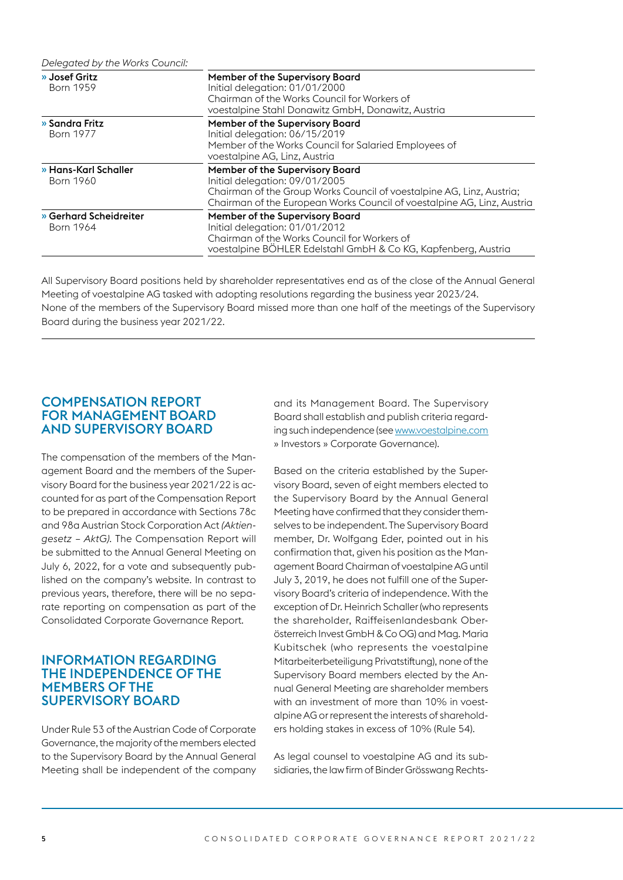*Delegated by the Works Council:*

| » Josef Gritz<br><b>Born 1959</b>   | Member of the Supervisory Board<br>Initial delegation: 01/01/2000                                                                                                                                                     |
|-------------------------------------|-----------------------------------------------------------------------------------------------------------------------------------------------------------------------------------------------------------------------|
|                                     | Chairman of the Works Council for Workers of<br>voestalpine Stahl Donawitz GmbH, Donawitz, Austria                                                                                                                    |
| » Sandra Fritz<br><b>Born 1977</b>  | Member of the Supervisory Board<br>Initial delegation: 06/15/2019<br>Member of the Works Council for Salaried Employees of<br>voestalpine AG, Linz, Austria                                                           |
| » Hans-Karl Schaller<br>Born 1960   | Member of the Supervisory Board<br>Initial delegation: 09/01/2005<br>Chairman of the Group Works Council of voestalpine AG, Linz, Austria;<br>Chairman of the European Works Council of voestalpine AG, Linz, Austria |
| » Gerhard Scheidreiter<br>Born 1964 | Member of the Supervisory Board<br>Initial delegation: 01/01/2012<br>Chairman of the Works Council for Workers of<br>voestalpine BÖHLER Edelstahl GmbH & Co KG, Kapfenberg, Austria                                   |

All Supervisory Board positions held by shareholder representatives end as of the close of the Annual General Meeting of voestalpine AG tasked with adopting resolutions regarding the business year 2023/24. None of the members of the Supervisory Board missed more than one half of the meetings of the Supervisory Board during the business year 2021/22.

## COMPENSATION REPORT FOR MANAGEMENT BOARD AND SUPERVISORY BOARD

The compensation of the members of the Management Board and the members of the Supervisory Board for the business year 2021/22 is accounted for as part of the Compensation Report to be prepared in accordance with Sections 78c and 98a Austrian Stock Corporation Act *(Aktiengesetz – AktG).* The Compensation Report will be submitted to the Annual General Meeting on July 6, 2022, for a vote and subsequently published on the company's website. In contrast to previous years, therefore, there will be no separate reporting on compensation as part of the Consolidated Corporate Governance Report.

## INFORMATION REGARDING THE INDEPENDENCE OF THE MEMBERS OF THE SUPERVISORY BOARD

Under Rule 53 of the Austrian Code of Corporate Governance, the majority of the members elected to the Supervisory Board by the Annual General Meeting shall be independent of the company and its Management Board. The Supervisory Board shall establish and publish criteria regarding such independence (see www.voestalpine.com » Investors » Corporate Governance).

Based on the criteria established by the Supervisory Board, seven of eight members elected to the Supervisory Board by the Annual General Meeting have confirmed that they consider themselves to be independent. The Supervisory Board member, Dr. Wolfgang Eder, pointed out in his confirmation that, given his position as the Management Board Chairman of voestalpine AG until July 3, 2019, he does not fulfill one of the Supervisory Board's criteria of independence. With the exception of Dr. Heinrich Schaller (who represents the shareholder, Raiffeisenlandesbank Oberösterreich Invest GmbH & Co OG) and Mag. Maria Kubitschek (who represents the voestalpine Mitarbeiterbeteiligung Privatstiftung), none of the Supervisory Board members elected by the Annual General Meeting are shareholder members with an investment of more than 10% in voestalpine AG or represent the interests of shareholders holding stakes in excess of 10% (Rule 54).

As legal counsel to voestalpine AG and its subsidiaries, the law firm of Binder Grösswang Rechts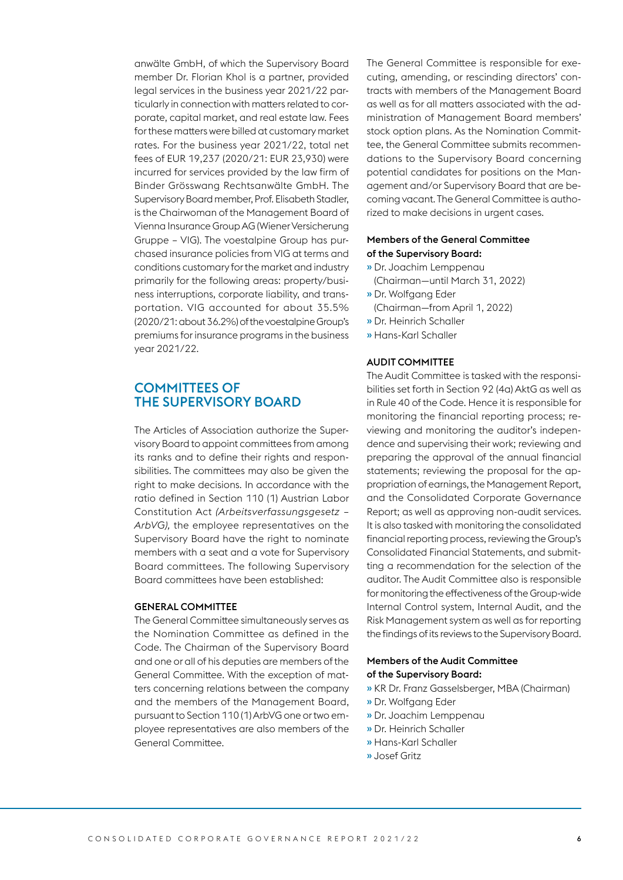anwälte GmbH, of which the Supervisory Board member Dr. Florian Khol is a partner, provided legal services in the business year 2021/22 particularly in connection with matters related to corporate, capital market, and real estate law. Fees for these matters were billed at customary market rates. For the business year 2021/22, total net fees of EUR 19,237 (2020/21: EUR 23,930) were incurred for services provided by the law firm of Binder Grösswang Rechtsanwälte GmbH. The Supervisory Board member, Prof. Elisabeth Stadler, is the Chairwoman of the Management Board of Vienna Insurance Group AG (Wiener Versicherung Gruppe – VIG). The voestalpine Group has purchased insurance policies from VIG at terms and conditions customary for the market and industry primarily for the following areas: property/business interruptions, corporate liability, and transportation. VIG accounted for about 35.5% (2020/21: about 36.2%) of the voestalpine Group's premiums for insurance programs in the business year 2021/22.

## COMMITTEES OF THE SUPERVISORY BOARD

The Articles of Association authorize the Supervisory Board to appoint committees from among its ranks and to define their rights and responsibilities. The committees may also be given the right to make decisions. In accordance with the ratio defined in Section 110 (1) Austrian Labor Constitution Act *(Arbeitsverfassungsgesetz – ArbVG),* the employee representatives on the Supervisory Board have the right to nominate members with a seat and a vote for Supervisory Board committees. The following Supervisory Board committees have been established:

#### GENERAL COMMITTEE

The General Committee simultaneously serves as the Nomination Committee as defined in the Code. The Chairman of the Supervisory Board and one or all of his deputies are members of the General Committee. With the exception of matters concerning relations between the company and the members of the Management Board, pursuant to Section 110 (1) ArbVG one or two employee representatives are also members of the General Committee.

The General Committee is responsible for executing, amending, or rescinding directors' contracts with members of the Management Board as well as for all matters associated with the administration of Management Board members' stock option plans. As the Nomination Committee, the General Committee submits recommendations to the Supervisory Board concerning potential candidates for positions on the Management and/or Supervisory Board that are becoming vacant. The General Committee is authorized to make decisions in urgent cases.

#### Members of the General Committee of the Supervisory Board:

- » Dr. Joachim Lemppenau (Chairman—until March 31, 2022)
- » Dr. Wolfgang Eder
	- (Chairman—from April 1, 2022)
- » Dr. Heinrich Schaller
- » Hans-Karl Schaller

## AUDIT COMMITTEE

The Audit Committee is tasked with the responsibilities set forth in Section 92 (4a) AktG as well as in Rule 40 of the Code. Hence it is responsible for monitoring the financial reporting process; reviewing and monitoring the auditor's independence and supervising their work; reviewing and preparing the approval of the annual financial statements; reviewing the proposal for the appropriation of earnings, the Management Report, and the Consolidated Corporate Governance Report; as well as approving non-audit services. It is also tasked with monitoring the consolidated financial reporting process, reviewing the Group's Consolidated Financial Statements, and submitting a recommendation for the selection of the auditor. The Audit Committee also is responsible for monitoring the effectiveness of the Group-wide Internal Control system, Internal Audit, and the Risk Management system as well as for reporting the findings of its reviews to the Supervisory Board.

#### Members of the Audit Committee of the Supervisory Board:

- » KR Dr. Franz Gasselsberger, MBA (Chairman)
- » Dr. Wolfgang Eder
- » Dr. Joachim Lemppenau
- » Dr. Heinrich Schaller
- » Hans-Karl Schaller
- » Josef Gritz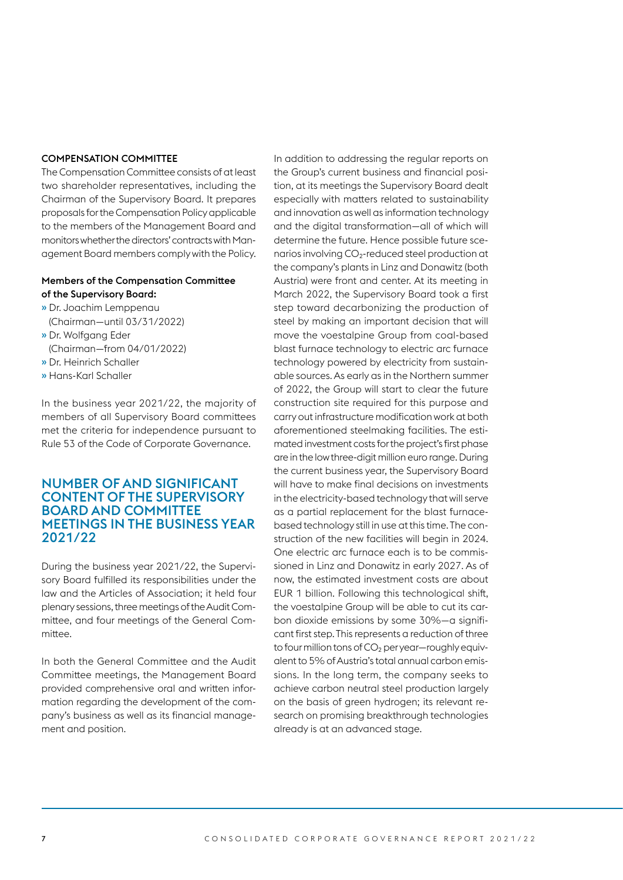#### COMPENSATION COMMITTEE

The Compensation Committee consists of at least two shareholder representatives, including the Chairman of the Supervisory Board. It prepares proposals for the Compensation Policy applicable to the members of the Management Board and monitors whether the directors' contracts with Management Board members comply with the Policy.

## Members of the Compensation Committee of the Supervisory Board:

- » Dr. Joachim Lemppenau
- (Chairman—until 03/31/2022) » Dr. Wolfgang Eder
- (Chairman—from 04/01/2022)
- » Dr. Heinrich Schaller
- » Hans-Karl Schaller

In the business year 2021/22, the majority of members of all Supervisory Board committees met the criteria for independence pursuant to Rule 53 of the Code of Corporate Governance.

## NUMBER OF AND SIGNIFICANT CONTENT OF THE SUPERVISORY BOARD AND COMMITTEE MEETINGS IN THE BUSINESS YEAR 2021/22

During the business year 2021/22, the Supervisory Board fulfilled its responsibilities under the law and the Articles of Association; it held four plenary sessions, three meetings of the Audit Committee, and four meetings of the General Committee.

In both the General Committee and the Audit Committee meetings, the Management Board provided comprehensive oral and written information regarding the development of the company's business as well as its financial management and position.

In addition to addressing the regular reports on the Group's current business and financial position, at its meetings the Supervisory Board dealt especially with matters related to sustainability and innovation as well as information technology and the digital transformation—all of which will determine the future. Hence possible future scenarios involving  $CO<sub>2</sub>$ -reduced steel production at the company's plants in Linz and Donawitz (both Austria) were front and center. At its meeting in March 2022, the Supervisory Board took a first step toward decarbonizing the production of steel by making an important decision that will move the voestalpine Group from coal-based blast furnace technology to electric arc furnace technology powered by electricity from sustainable sources. As early as in the Northern summer of 2022, the Group will start to clear the future construction site required for this purpose and carry out infrastructure modification work at both aforementioned steelmaking facilities. The estimated investment costs for the project's first phase are in the low three-digit million euro range. During the current business year, the Supervisory Board will have to make final decisions on investments in the electricity-based technology that will serve as a partial replacement for the blast furnacebased technology still in use at this time. The construction of the new facilities will begin in 2024. One electric arc furnace each is to be commissioned in Linz and Donawitz in early 2027. As of now, the estimated investment costs are about EUR 1 billion. Following this technological shift, the voestalpine Group will be able to cut its carbon dioxide emissions by some 30%—a significant first step. This represents a reduction of three to four million tons of  $CO<sub>2</sub>$  per year—roughly equivalent to 5% of Austria's total annual carbon emissions. In the long term, the company seeks to achieve carbon neutral steel production largely on the basis of green hydrogen; its relevant research on promising breakthrough technologies already is at an advanced stage.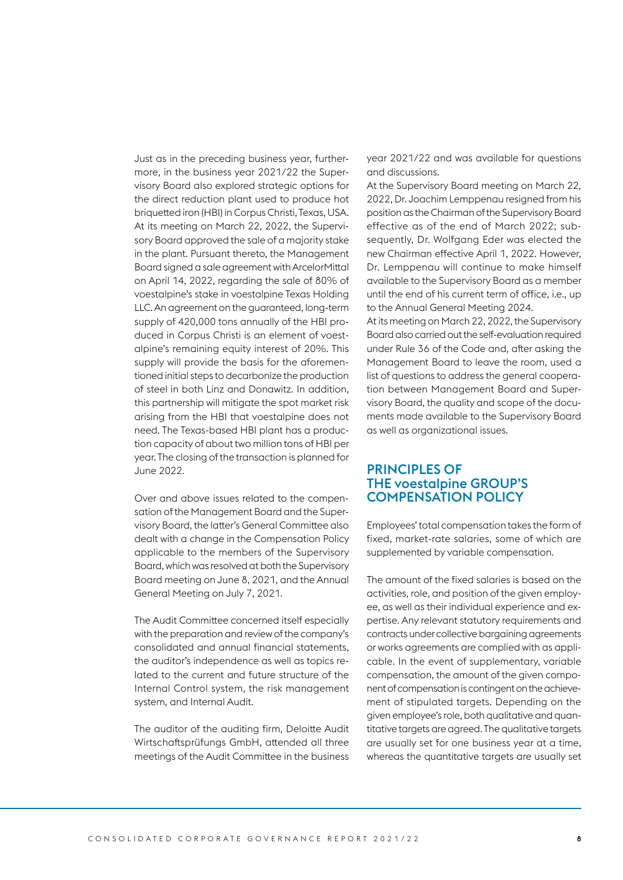Just as in the preceding business year, furthermore, in the business year 2021/22 the Supervisory Board also explored strategic options for the direct reduction plant used to produce hot briquetted iron (HBI) in Corpus Christi, Texas, USA. At its meeting on March 22, 2022, the Supervisory Board approved the sale of a majority stake in the plant. Pursuant thereto, the Management Board signed a sale agreement with ArcelorMittal on April 14, 2022, regarding the sale of 80% of voestalpine's stake in voestalpine Texas Holding LLC. An agreement on the guaranteed, long-term supply of 420,000 tons annually of the HBI produced in Corpus Christi is an element of voestalpine's remaining equity interest of 20%. This supply will provide the basis for the aforementioned initial steps to decarbonize the production of steel in both Linz and Donawitz. In addition, this partnership will mitigate the spot market risk arising from the HBI that voestalpine does not need. The Texas-based HBI plant has a production capacity of about two million tons of HBI per year. The closing of the transaction is planned for June 2022.

Over and above issues related to the compensation of the Management Board and the Supervisory Board, the latter's General Committee also dealt with a change in the Compensation Policy applicable to the members of the Supervisory Board, which was resolved at both the Supervisory Board meeting on June 8, 2021, and the Annual General Meeting on July 7, 2021.

The Audit Committee concerned itself especially with the preparation and review of the company's consolidated and annual financial statements, the auditor's independence as well as topics related to the current and future structure of the Internal Control system, the risk management system, and Internal Audit.

The auditor of the auditing firm, Deloitte Audit Wirtschaftsprüfungs GmbH, attended all three meetings of the Audit Committee in the business

year 2021/22 and was available for questions and discussions.

At the Supervisory Board meeting on March 22, 2022, Dr. Joachim Lemppenau resigned from his position as the Chairman of the Supervisory Board effective as of the end of March 2022; subsequently, Dr. Wolfgang Eder was elected the new Chairman effective April 1, 2022. However, Dr. Lemppenau will continue to make himself available to the Supervisory Board as a member until the end of his current term of office, i.e., up to the Annual General Meeting 2024.

At its meeting on March 22, 2022, the Supervisory Board also carried out the self-evaluation required under Rule 36 of the Code and, after asking the Management Board to leave the room, used a list of questions to address the general cooperation between Management Board and Supervisory Board, the quality and scope of the documents made available to the Supervisory Board as well as organizational issues.

## PRINCIPLES OF THE voestalpine GROUP'S COMPENSATION POLICY

Employees' total compensation takes the form of fixed, market-rate salaries, some of which are supplemented by variable compensation.

The amount of the fixed salaries is based on the activities, role, and position of the given employee, as well as their individual experience and expertise. Any relevant statutory requirements and contracts under collective bargaining agreements or works agreements are complied with as applicable. In the event of supplementary, variable compensation, the amount of the given component of compensation is contingent on the achievement of stipulated targets. Depending on the given employee's role, both qualitative and quantitative targets are agreed. The qualitative targets are usually set for one business year at a time, whereas the quantitative targets are usually set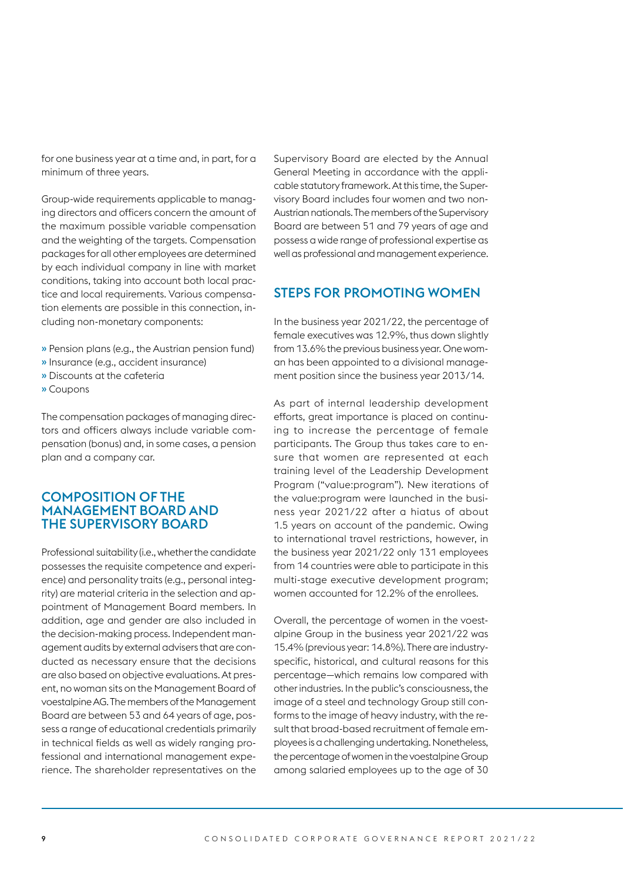for one business year at a time and, in part, for a minimum of three years.

Group-wide requirements applicable to managing directors and officers concern the amount of the maximum possible variable compensation and the weighting of the targets. Compensation packages for all other employees are determined by each individual company in line with market conditions, taking into account both local practice and local requirements. Various compensation elements are possible in this connection, including non-monetary components:

- » Pension plans (e.g., the Austrian pension fund)
- » Insurance (e.g., accident insurance)
- » Discounts at the cafeteria
- » Coupons

The compensation packages of managing directors and officers always include variable compensation (bonus) and, in some cases, a pension plan and a company car.

## COMPOSITION OF THE MANAGEMENT BOARD AND THE SUPERVISORY BOARD

Professional suitability (i.e., whether the candidate possesses the requisite competence and experience) and personality traits (e.g., personal integrity) are material criteria in the selection and appointment of Management Board members. In addition, age and gender are also included in the decision-making process. Independent management audits by external advisers that are conducted as necessary ensure that the decisions are also based on objective evaluations. At present, no woman sits on the Management Board of voestalpine AG. The members of the Management Board are between 53 and 64 years of age, possess a range of educational credentials primarily in technical fields as well as widely ranging professional and international management experience. The shareholder representatives on the Supervisory Board are elected by the Annual General Meeting in accordance with the applicable statutory framework. At this time, the Supervisory Board includes four women and two non-Austrian nationals. The members of the Supervisory Board are between 51 and 79 years of age and possess a wide range of professional expertise as well as professional and management experience.

## STEPS FOR PROMOTING WOMEN

In the business year 2021/22, the percentage of female executives was 12.9%, thus down slightly from 13.6% the previous business year. One woman has been appointed to a divisional management position since the business year 2013/14.

As part of internal leadership development efforts, great importance is placed on continuing to increase the percentage of female participants. The Group thus takes care to ensure that women are represented at each training level of the Leadership Development Program ("value:program"). New iterations of the value:program were launched in the business year 2021/22 after a hiatus of about 1.5 years on account of the pandemic. Owing to international travel restrictions, however, in the business year 2021/22 only 131 employees from 14 countries were able to participate in this multi-stage executive development program; women accounted for 12.2% of the enrollees.

Overall, the percentage of women in the voestalpine Group in the business year 2021/22 was 15.4% (previous year: 14.8%). There are industryspecific, historical, and cultural reasons for this percentage—which remains low compared with other industries. In the public's consciousness, the image of a steel and technology Group still conforms to the image of heavy industry, with the result that broad-based recruitment of female employees is a challenging undertaking. Nonetheless, the percentage of women in the voestalpine Group among salaried employees up to the age of 30